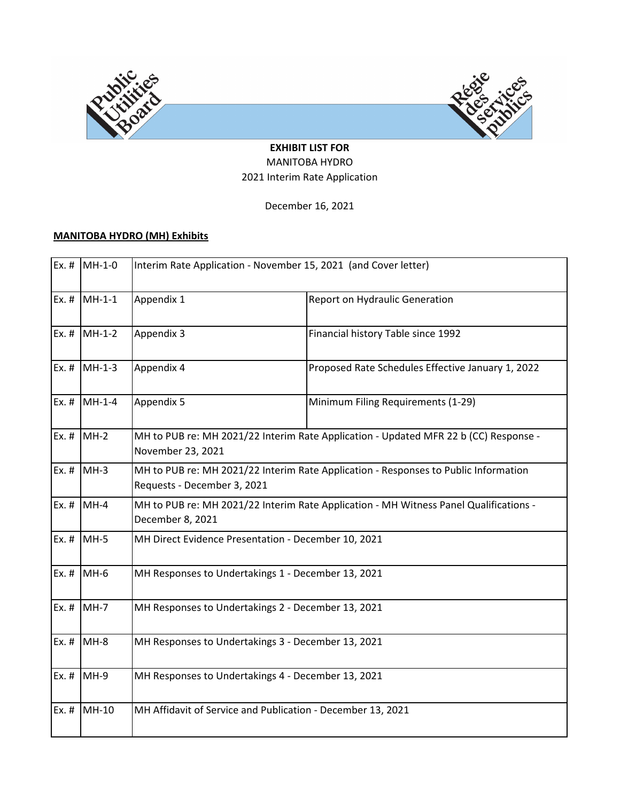

## **EXHIBIT LIST FOR** MANITOBA HYDRO 2021 Interim Rate Application

December 16, 2021

# **MANITOBA HYDRO (MH) Exhibits**

|         | Ex. # $MH-1-0$ | Interim Rate Application - November 15, 2021 (and Cover letter)                                                    |                                                                                      |  |  |  |  |  |  |
|---------|----------------|--------------------------------------------------------------------------------------------------------------------|--------------------------------------------------------------------------------------|--|--|--|--|--|--|
| $Ex.$ # | $MH-1-1$       | Appendix 1                                                                                                         | Report on Hydraulic Generation                                                       |  |  |  |  |  |  |
|         | Ex. # $MH-1-2$ | Appendix 3                                                                                                         | Financial history Table since 1992                                                   |  |  |  |  |  |  |
| Ex. #   | $MH-1-3$       | Appendix 4                                                                                                         | Proposed Rate Schedules Effective January 1, 2022                                    |  |  |  |  |  |  |
| $Ex.$ # | $MH-1-4$       | Appendix 5                                                                                                         | Minimum Filing Requirements (1-29)                                                   |  |  |  |  |  |  |
|         | Ex. $\#$ MH-2  | November 23, 2021                                                                                                  | MH to PUB re: MH 2021/22 Interim Rate Application - Updated MFR 22 b (CC) Response - |  |  |  |  |  |  |
| $Ex.$ # | $MH-3$         | MH to PUB re: MH 2021/22 Interim Rate Application - Responses to Public Information<br>Requests - December 3, 2021 |                                                                                      |  |  |  |  |  |  |
| $Ex.$ # | $MH-4$         | MH to PUB re: MH 2021/22 Interim Rate Application - MH Witness Panel Qualifications -<br>December 8, 2021          |                                                                                      |  |  |  |  |  |  |
|         | Ex. $\#$ MH-5  | MH Direct Evidence Presentation - December 10, 2021                                                                |                                                                                      |  |  |  |  |  |  |
| $Ex.$ # | $MH-6$         | MH Responses to Undertakings 1 - December 13, 2021                                                                 |                                                                                      |  |  |  |  |  |  |
| $Ex.$ # | $MH-7$         | MH Responses to Undertakings 2 - December 13, 2021                                                                 |                                                                                      |  |  |  |  |  |  |
|         | Ex. # $MH-8$   | MH Responses to Undertakings 3 - December 13, 2021                                                                 |                                                                                      |  |  |  |  |  |  |
| $Ex.$ # | $MH-9$         | MH Responses to Undertakings 4 - December 13, 2021                                                                 |                                                                                      |  |  |  |  |  |  |
| $Ex.$ # | MH-10          | MH Affidavit of Service and Publication - December 13, 2021                                                        |                                                                                      |  |  |  |  |  |  |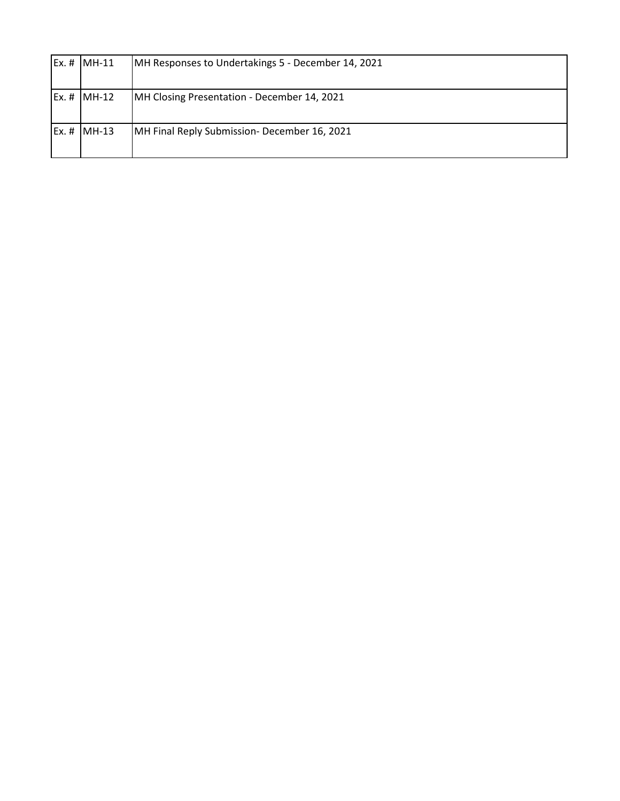| $Ex. #$ MH-11          | MH Responses to Undertakings 5 - December 14, 2021 |
|------------------------|----------------------------------------------------|
| Ex. # MH-12            | MH Closing Presentation - December 14, 2021        |
| $\mathsf{Ex}.$ # MH-13 | MH Final Reply Submission- December 16, 2021       |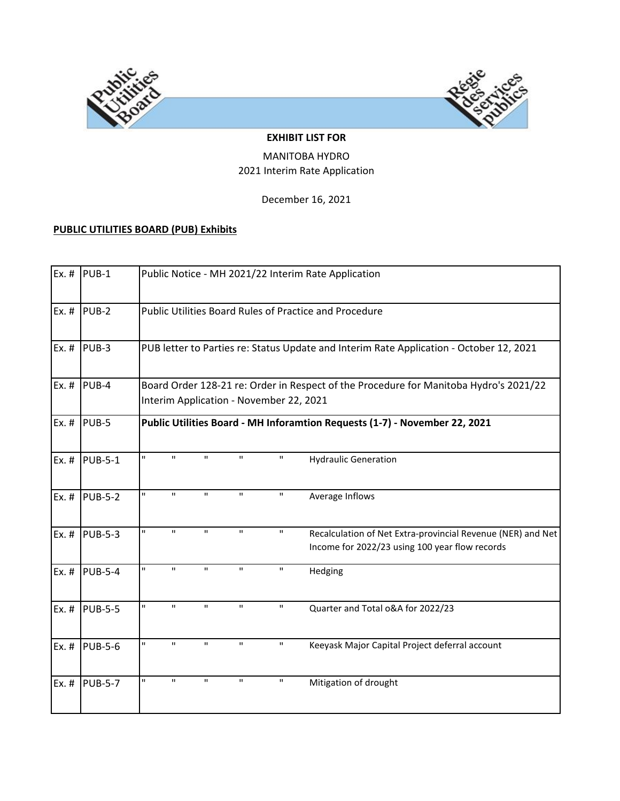



#### **EXHIBIT LIST FOR**

## MANITOBA HYDRO 2021 Interim Rate Application

December 16, 2021

# **PUBLIC UTILITIES BOARD (PUB) Exhibits**

| $Ex.$ # | PUB-1          |                    |                                                        |              |              | Public Notice - MH 2021/22 Interim Rate Application                                                           |  |  |  |  |
|---------|----------------|--------------------|--------------------------------------------------------|--------------|--------------|---------------------------------------------------------------------------------------------------------------|--|--|--|--|
| $Ex.$ # | PUB-2          |                    | Public Utilities Board Rules of Practice and Procedure |              |              |                                                                                                               |  |  |  |  |
| Ex. #   | PUB-3          |                    |                                                        |              |              | PUB letter to Parties re: Status Update and Interim Rate Application - October 12, 2021                       |  |  |  |  |
| Ex.#    | PUB-4          |                    | Interim Application - November 22, 2021                |              |              | Board Order 128-21 re: Order in Respect of the Procedure for Manitoba Hydro's 2021/22                         |  |  |  |  |
| $Ex.$ # | PUB-5          |                    |                                                        |              |              | Public Utilities Board - MH Inforamtion Requests (1-7) - November 22, 2021                                    |  |  |  |  |
| $Ex.$ # | <b>PUB-5-1</b> | H.<br>$\mathbf{H}$ | $\mathbf{H}$                                           | $\mathbf{H}$ | $\mathbf{H}$ | <b>Hydraulic Generation</b>                                                                                   |  |  |  |  |
| $Ex.$ # | <b>PUB-5-2</b> | H.<br>$\mathbf{H}$ | $\mathbf H$                                            | $\mathbf{H}$ | $\mathbf H$  | Average Inflows                                                                                               |  |  |  |  |
| $Ex.$ # | <b>PUB-5-3</b> | H.<br>$\mathbf H$  | $\mathbf{H}$                                           | $\mathbf{H}$ | $\mathbf H$  | Recalculation of Net Extra-provincial Revenue (NER) and Net<br>Income for 2022/23 using 100 year flow records |  |  |  |  |
| $Ex.$ # | <b>PUB-5-4</b> | п<br>$\mathbf H$   | $\mathbf{H}$                                           | п            | $\mathbf H$  | Hedging                                                                                                       |  |  |  |  |
| $Ex.$ # | <b>PUB-5-5</b> | H.<br>$\mathbf{u}$ | $\mathbf{H}$                                           | $\mathbf H$  | $\mathbf H$  | Quarter and Total o&A for 2022/23                                                                             |  |  |  |  |
| $Ex.$ # | <b>PUB-5-6</b> | H.<br>$\mathbf{H}$ | $\mathbf{H}$                                           | $\mathbf H$  | $\mathbf H$  | Keeyask Major Capital Project deferral account                                                                |  |  |  |  |
| $Ex.$ # | <b>PUB-5-7</b> | $\mathbf{H}$<br>П  | $\mathbf H$                                            | $\mathbf{H}$ | $\mathbf H$  | Mitigation of drought                                                                                         |  |  |  |  |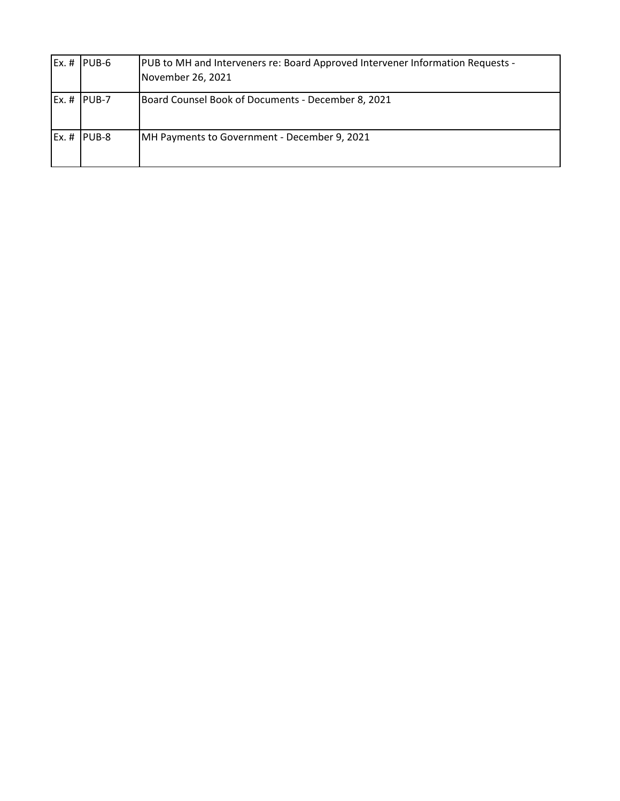| $Ex. #$ PUB-6 | PUB to MH and Interveners re: Board Approved Intervener Information Requests -<br>November 26, 2021 |
|---------------|-----------------------------------------------------------------------------------------------------|
| $Ex. #$ PUB-7 | Board Counsel Book of Documents - December 8, 2021                                                  |
| Ex. # PUB-8   | <b>IMH Payments to Government - December 9, 2021</b>                                                |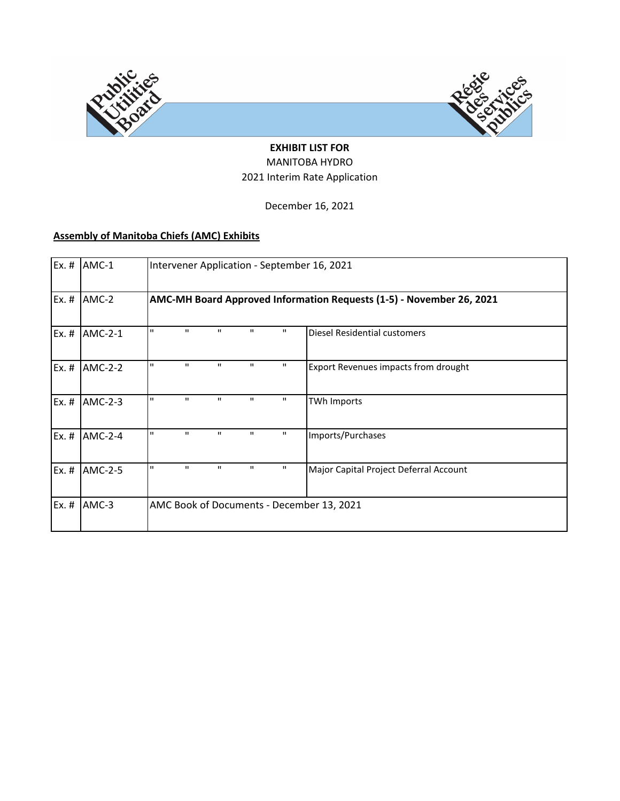

## **EXHIBIT LIST FOR** MANITOBA HYDRO 2021 Interim Rate Application

December 16, 2021

# **Assembly of Manitoba Chiefs (AMC) Exhibits**

| Ex. $#$ | AMC-1          | Intervener Application - September 16, 2021 |              |              |              |              |                                                                      |  |  |
|---------|----------------|---------------------------------------------|--------------|--------------|--------------|--------------|----------------------------------------------------------------------|--|--|
| $Ex.$ # | AMC-2          |                                             |              |              |              |              | AMC-MH Board Approved Information Requests (1-5) - November 26, 2021 |  |  |
| $Ex.$ # | AMC-2-1        | п                                           | $\mathbf{H}$ | $\mathbf{H}$ | П.           | п.           | Diesel Residential customers                                         |  |  |
| $Ex.$ # | <b>AMC-2-2</b> | п                                           | $\mathbf{H}$ | $\mathbf H$  | п            | $\mathbf{H}$ | Export Revenues impacts from drought                                 |  |  |
| $Ex.$ # | AMC-2-3        | $\mathbf{H}$                                | $\mathbf{H}$ | $\mathbf{H}$ | $\mathbf{H}$ | $\mathbf{H}$ | <b>TWh Imports</b>                                                   |  |  |
| $Ex.$ # | <b>AMC-2-4</b> | п                                           | $\mathbf{H}$ | $\mathbf{H}$ | $\mathbf{H}$ | $\mathbf{H}$ | Imports/Purchases                                                    |  |  |
| $Ex.$ # | AMC-2-5        | п                                           | $\mathbf{H}$ | п            | п            | п            | Major Capital Project Deferral Account                               |  |  |
| $Ex.$ # | AMC-3          |                                             |              |              |              |              | AMC Book of Documents - December 13, 2021                            |  |  |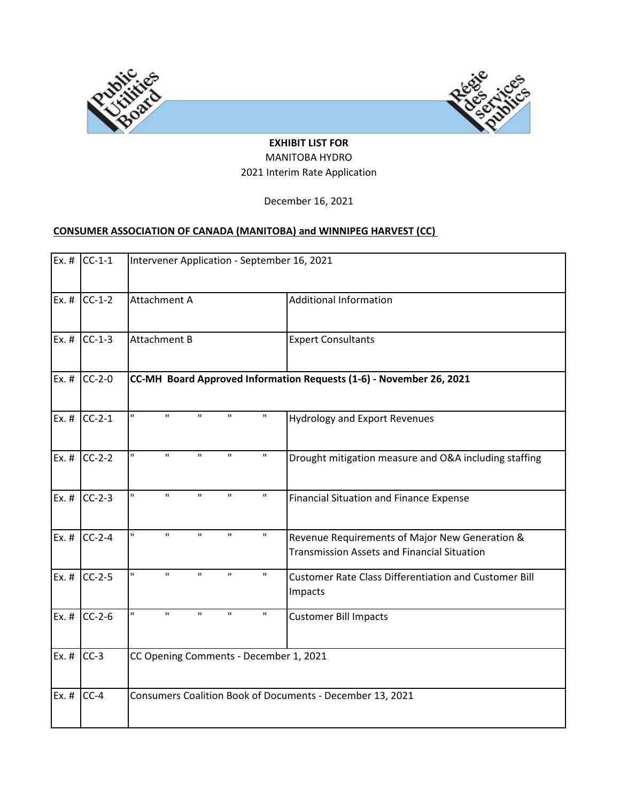

## **EXHIBIT LIST FOR** MANITOBA HYDRO 2021 Interim Rate Application

December 16, 2021

# **CONSUMER ASSOCIATION OF CANADA (MANITOBA) and WINNIPEG HARVEST (CC)**

| $Ex.$ # | $CC-1-1$ |                                        |                                                           |              |              | Intervener Application - September 16, 2021                                                          |  |  |  |  |  |
|---------|----------|----------------------------------------|-----------------------------------------------------------|--------------|--------------|------------------------------------------------------------------------------------------------------|--|--|--|--|--|
| $Ex.$ # | $CC-1-2$ | Attachment A                           |                                                           |              |              | <b>Additional Information</b>                                                                        |  |  |  |  |  |
| $Ex.$ # | $CC-1-3$ | <b>Attachment B</b>                    |                                                           |              |              | <b>Expert Consultants</b>                                                                            |  |  |  |  |  |
| $Ex.$ # | $CC-2-0$ |                                        |                                                           |              |              | CC-MH Board Approved Information Requests (1-6) - November 26, 2021                                  |  |  |  |  |  |
| $Ex.$ # | $CC-2-1$ | П<br>$\mathbf{H}$                      | $\mathbf{H}$                                              | $\mathbf{H}$ | $\mathbf H$  | <b>Hydrology and Export Revenues</b>                                                                 |  |  |  |  |  |
| $Ex.$ # | $CC-2-2$ | $\mathbf{H}$<br>П                      | $\mathbf H$                                               | $\mathbf{H}$ | $\mathbf H$  | Drought mitigation measure and O&A including staffing                                                |  |  |  |  |  |
| $Ex.$ # | $CC-2-3$ | п<br>$\mathbf{H}$                      | $\mathbf{H}$                                              | $\mathbf{H}$ | $\mathbf{H}$ | <b>Financial Situation and Finance Expense</b>                                                       |  |  |  |  |  |
| $Ex.$ # | $CC-2-4$ | H.<br>$\mathbf{u}$                     | $\mathbf{u}$                                              | $\mathbf{H}$ | $\mathbf{H}$ | Revenue Requirements of Major New Generation &<br><b>Transmission Assets and Financial Situation</b> |  |  |  |  |  |
| $Ex.$ # | $CC-2-5$ | H.<br>$\mathbf{H}$                     | $\mathbf{H}$                                              | $\mathbf{H}$ | П.           | <b>Customer Rate Class Differentiation and Customer Bill</b><br>Impacts                              |  |  |  |  |  |
| $Ex.$ # | $CC-2-6$ | П<br>$\mathbf{H}$                      | $\mathbf{H}$                                              | $\mathbf{H}$ | $\mathbf H$  | <b>Customer Bill Impacts</b>                                                                         |  |  |  |  |  |
| $Ex.$ # | $CC-3$   | CC Opening Comments - December 1, 2021 |                                                           |              |              |                                                                                                      |  |  |  |  |  |
| $Ex.$ # | $CC-4$   |                                        | Consumers Coalition Book of Documents - December 13, 2021 |              |              |                                                                                                      |  |  |  |  |  |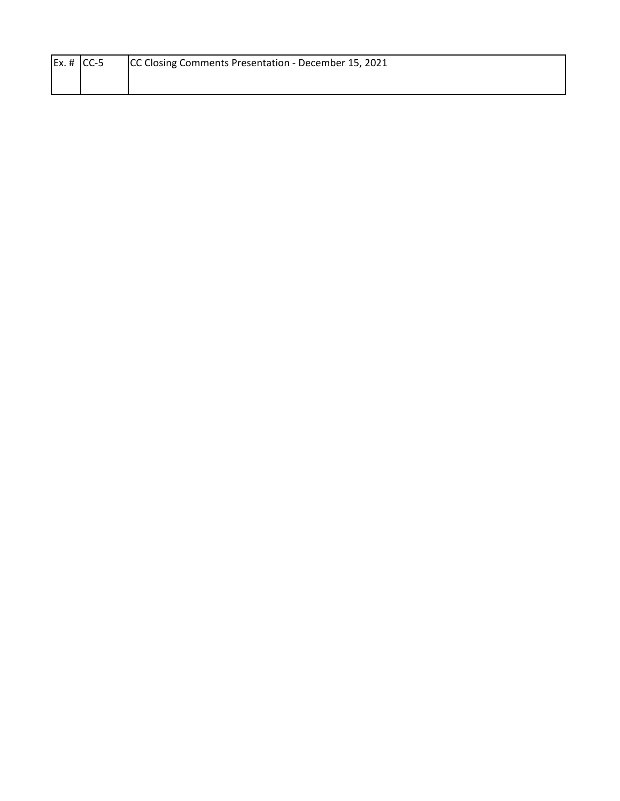| Ex. # $ CC-5 $ | <b>ICC Closing Comments Presentation - December 15, 2021</b> |
|----------------|--------------------------------------------------------------|
|                |                                                              |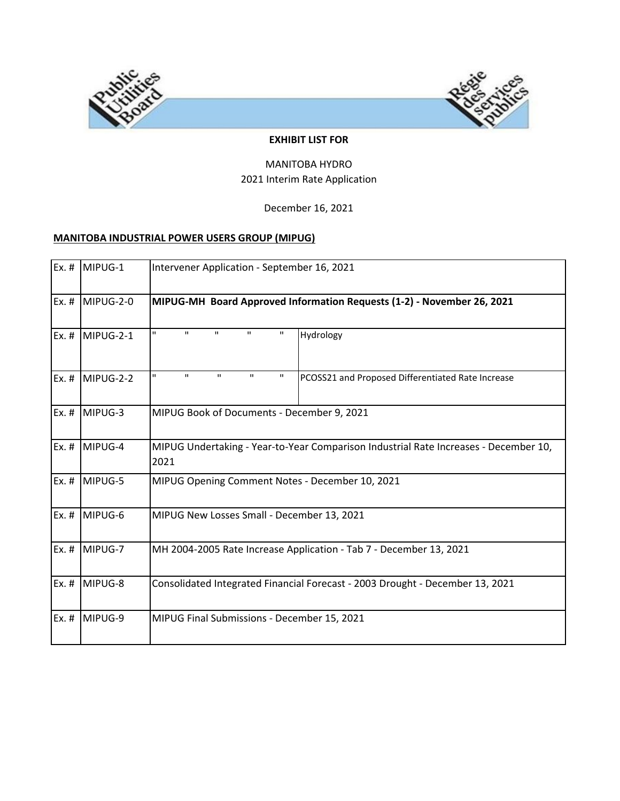

#### **EXHIBIT LIST FOR**

#### MANITOBA HYDRO 2021 Interim Rate Application

December 16, 2021

#### **MANITOBA INDUSTRIAL POWER USERS GROUP (MIPUG)**

| Ex. #   | MIPUG-1   | Intervener Application - September 16, 2021                                                                                      |  |  |  |  |
|---------|-----------|----------------------------------------------------------------------------------------------------------------------------------|--|--|--|--|
| $Ex.$ # | MIPUG-2-0 | MIPUG-MH Board Approved Information Requests (1-2) - November 26, 2021                                                           |  |  |  |  |
| $Ex.$ # | MIPUG-2-1 | $\mathbf{H}$<br>H.<br>$\mathbf H$<br>$\mathbf H$<br>п<br>Hydrology                                                               |  |  |  |  |
| $Ex.$ # | MIPUG-2-2 | $\mathbf{H}$<br>$\mathbf{H}$<br>$\mathbf{H}$<br>$\mathbf{H}$<br>$\mathbf H$<br>PCOSS21 and Proposed Differentiated Rate Increase |  |  |  |  |
| $Ex.$ # | MIPUG-3   | MIPUG Book of Documents - December 9, 2021                                                                                       |  |  |  |  |
| $Ex.$ # | MIPUG-4   | MIPUG Undertaking - Year-to-Year Comparison Industrial Rate Increases - December 10,<br>2021                                     |  |  |  |  |
| $Ex.$ # | MIPUG-5   | MIPUG Opening Comment Notes - December 10, 2021                                                                                  |  |  |  |  |
| $Ex.$ # | MIPUG-6   | MIPUG New Losses Small - December 13, 2021                                                                                       |  |  |  |  |
| $Ex.$ # | MIPUG-7   | MH 2004-2005 Rate Increase Application - Tab 7 - December 13, 2021                                                               |  |  |  |  |
| $Ex.$ # | MIPUG-8   | Consolidated Integrated Financial Forecast - 2003 Drought - December 13, 2021                                                    |  |  |  |  |
| $Ex.$ # | MIPUG-9   | MIPUG Final Submissions - December 15, 2021                                                                                      |  |  |  |  |